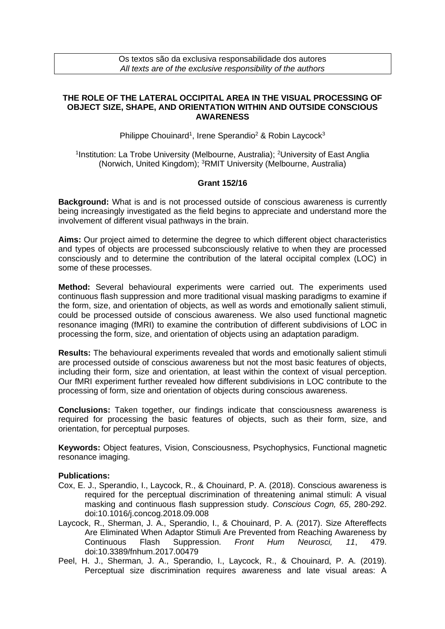## **THE ROLE OF THE LATERAL OCCIPITAL AREA IN THE VISUAL PROCESSING OF OBJECT SIZE, SHAPE, AND ORIENTATION WITHIN AND OUTSIDE CONSCIOUS AWARENESS**

Philippe Chouinard<sup>1</sup>, Irene Sperandio<sup>2</sup> & Robin Laycock<sup>3</sup>

<sup>1</sup>Institution: La Trobe University (Melbourne, Australia); <sup>2</sup>University of East Anglia (Norwich, United Kingdom); <sup>3</sup>RMIT University (Melbourne, Australia)

## **Grant 152/16**

**Background:** What is and is not processed outside of conscious awareness is currently being increasingly investigated as the field begins to appreciate and understand more the involvement of different visual pathways in the brain.

**Aims:** Our project aimed to determine the degree to which different object characteristics and types of objects are processed subconsciously relative to when they are processed consciously and to determine the contribution of the lateral occipital complex (LOC) in some of these processes.

**Method:** Several behavioural experiments were carried out. The experiments used continuous flash suppression and more traditional visual masking paradigms to examine if the form, size, and orientation of objects, as well as words and emotionally salient stimuli, could be processed outside of conscious awareness. We also used functional magnetic resonance imaging (fMRI) to examine the contribution of different subdivisions of LOC in processing the form, size, and orientation of objects using an adaptation paradigm.

**Results:** The behavioural experiments revealed that words and emotionally salient stimuli are processed outside of conscious awareness but not the most basic features of objects, including their form, size and orientation, at least within the context of visual perception. Our fMRI experiment further revealed how different subdivisions in LOC contribute to the processing of form, size and orientation of objects during conscious awareness.

**Conclusions:** Taken together, our findings indicate that consciousness awareness is required for processing the basic features of objects, such as their form, size, and orientation, for perceptual purposes.

**Keywords:** Object features, Vision, Consciousness, Psychophysics, Functional magnetic resonance imaging.

## **Publications:**

- Cox, E. J., Sperandio, I., Laycock, R., & Chouinard, P. A. (2018). Conscious awareness is required for the perceptual discrimination of threatening animal stimuli: A visual masking and continuous flash suppression study. *Conscious Cogn, 65*, 280-292. doi:10.1016/j.concog.2018.09.008
- Laycock, R., Sherman, J. A., Sperandio, I., & Chouinard, P. A. (2017). Size Aftereffects Are Eliminated When Adaptor Stimuli Are Prevented from Reaching Awareness by Continuous Flash Suppression. *Front Hum Neurosci, 11*, 479. doi:10.3389/fnhum.2017.00479
- Peel, H. J., Sherman, J. A., Sperandio, I., Laycock, R., & Chouinard, P. A. (2019). Perceptual size discrimination requires awareness and late visual areas: A